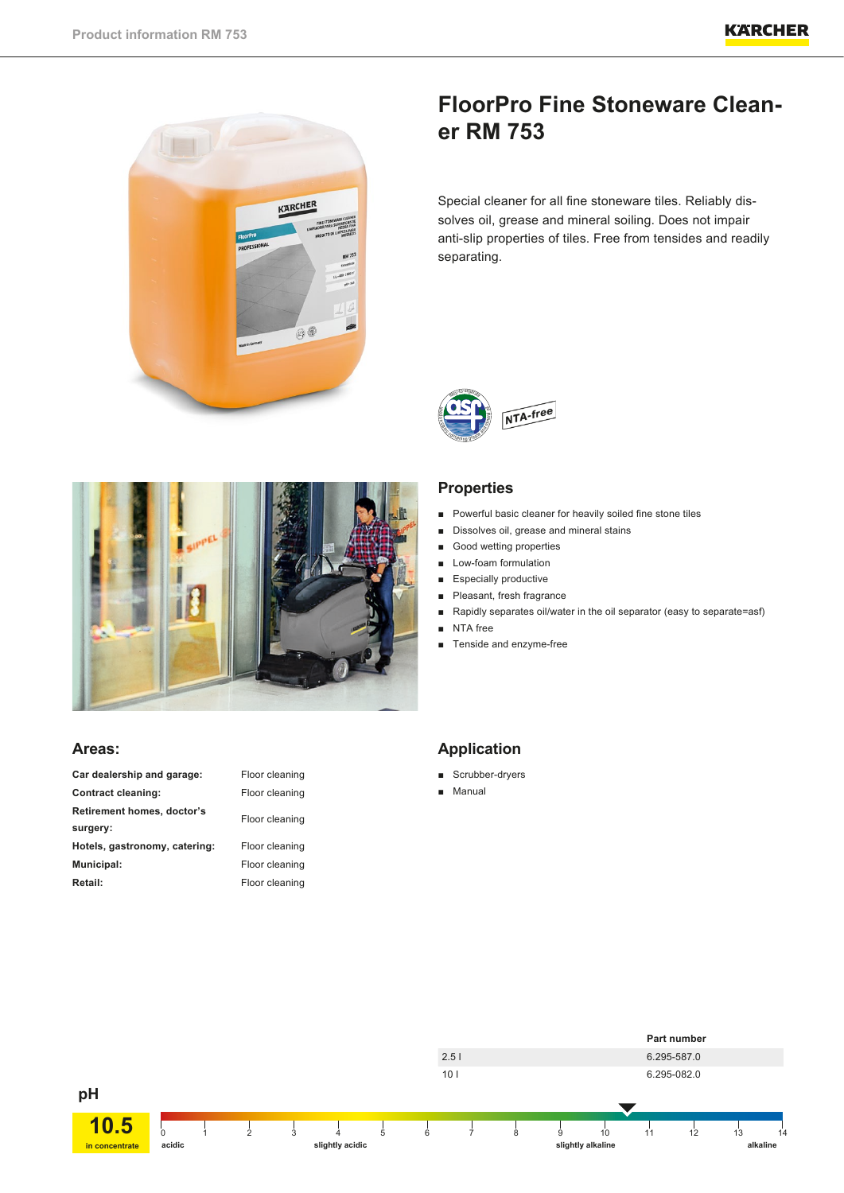

# **FloorPro Fine Stoneware Cleaner RM 753**

Special cleaner for all fine stoneware tiles. Reliably dissolves oil, grease and mineral soiling. Does not impair anti-slip properties of tiles. Free from tensides and readily separating.





- Powerful basic cleaner for heavily soiled fine stone tiles
- Dissolves oil, grease and mineral stains
- Good wetting properties
- Low-foam formulation
- Especially productive
- Pleasant, fresh fragrance
- Rapidly separates oil/water in the oil separator (easy to separate=asf)
- NTA free
- Tenside and enzyme-free



# **Areas:**

| Car dealership and garage:    | Floor cleaning |  |
|-------------------------------|----------------|--|
| <b>Contract cleaning:</b>     | Floor cleaning |  |
| Retirement homes, doctor's    | Floor cleaning |  |
| surgery:                      |                |  |
| Hotels, gastronomy, catering: | Floor cleaning |  |
| Municipal:                    | Floor cleaning |  |
| Retail:                       | Floor cleaning |  |

| Floor cleaning |
|----------------|
| Floor cleaning |
| Floor cleaning |
| Floor cleaning |
| Floor cleaning |

# **Application**

- Scrubber-dryers
- Manual